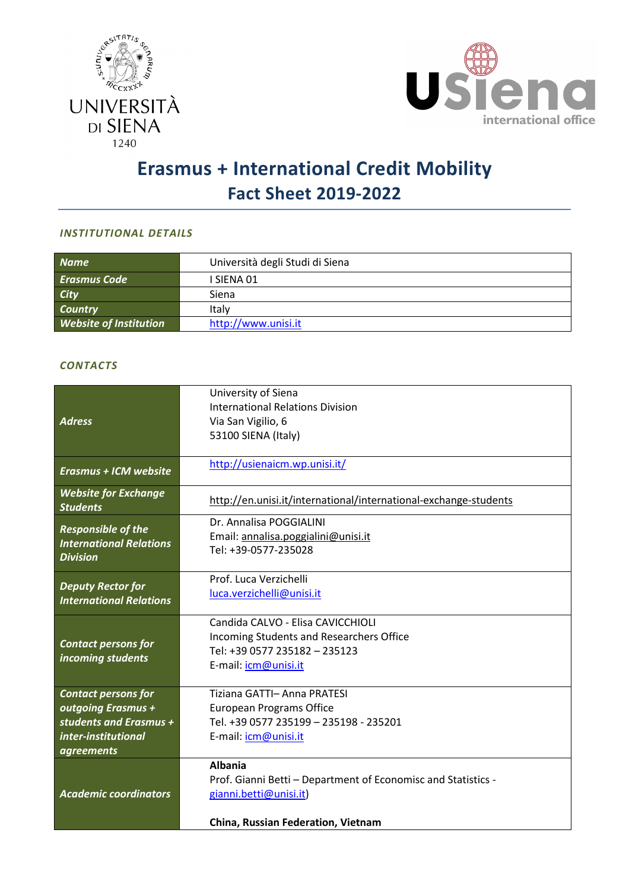



# **Erasmus + International Credit Mobility Fact Sheet 2019-2022**

#### *INSTITUTIONAL DETAILS*

| <b>Name</b>                   | Università degli Studi di Siena |
|-------------------------------|---------------------------------|
| <b>Erasmus Code</b>           | I SIENA 01                      |
| <b>City</b>                   | Siena                           |
| <b>Country</b>                | Italy                           |
| <b>Website of Institution</b> | http://www.unisi.it             |

#### *CONTACTS*

| <b>Adress</b>                                                                                                          | University of Siena<br><b>International Relations Division</b><br>Via San Vigilio, 6<br>53100 SIENA (Italy)                                     |
|------------------------------------------------------------------------------------------------------------------------|-------------------------------------------------------------------------------------------------------------------------------------------------|
| <b>Erasmus + ICM website</b>                                                                                           | http://usienaicm.wp.unisi.it/                                                                                                                   |
| <b>Website for Exchange</b><br><b>Students</b>                                                                         | http://en.unisi.it/international/international-exchange-students                                                                                |
| <b>Responsible of the</b><br><b>International Relations</b><br><b>Division</b>                                         | Dr. Annalisa POGGIALINI<br>Email: annalisa.poggialini@unisi.it<br>Tel: +39-0577-235028                                                          |
| <b>Deputy Rector for</b><br><b>International Relations</b>                                                             | Prof. Luca Verzichelli<br>luca.verzichelli@unisi.it                                                                                             |
| <b>Contact persons for</b><br>incoming students                                                                        | Candida CALVO - Elisa CAVICCHIOLI<br>Incoming Students and Researchers Office<br>Tel: +39 0577 235182 - 235123<br>E-mail: icm@unisi.it          |
| <b>Contact persons for</b><br>outgoing Erasmus +<br>students and Erasmus +<br>inter-institutional<br><i>agreements</i> | Tiziana GATTI- Anna PRATESI<br><b>European Programs Office</b><br>Tel. +39 0577 235199 - 235198 - 235201<br>E-mail: icm@unisi.it                |
| <b>Academic coordinators</b>                                                                                           | <b>Albania</b><br>Prof. Gianni Betti - Department of Economisc and Statistics -<br>gianni.betti@unisi.it)<br>China, Russian Federation, Vietnam |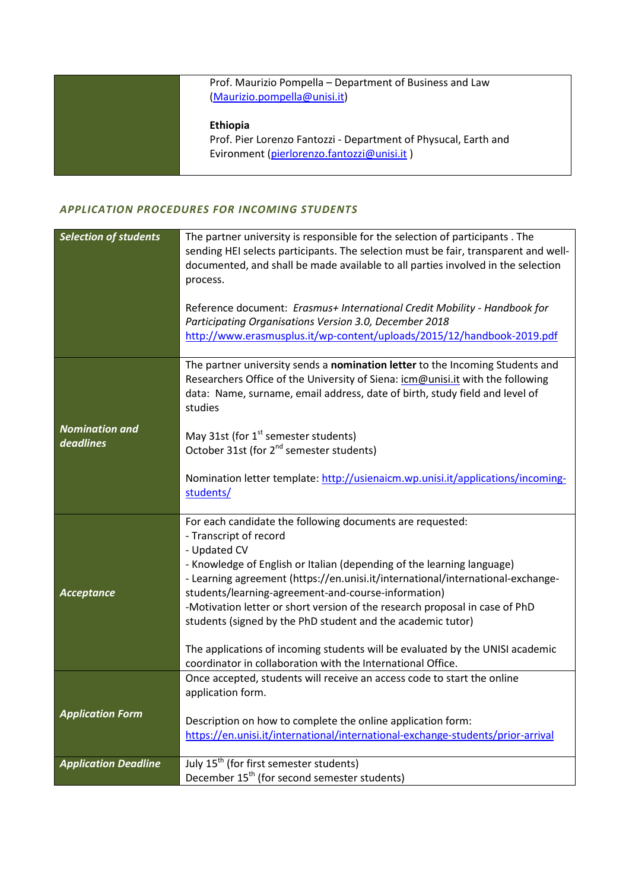| Prof. Maurizio Pompella - Department of Business and Law<br>(Maurizio.pompella@unisi.it)                                         |
|----------------------------------------------------------------------------------------------------------------------------------|
| <b>Ethiopia</b><br>Prof. Pier Lorenzo Fantozzi - Department of Physucal, Earth and<br>Evironment (pierlorenzo.fantozzi@unisi.it) |

#### *APPLICATION PROCEDURES FOR INCOMING STUDENTS*

| <b>Selection of students</b>       | The partner university is responsible for the selection of participants. The<br>sending HEI selects participants. The selection must be fair, transparent and well-<br>documented, and shall be made available to all parties involved in the selection<br>process.<br>Reference document: Erasmus+ International Credit Mobility - Handbook for<br>Participating Organisations Version 3.0, December 2018<br>http://www.erasmusplus.it/wp-content/uploads/2015/12/handbook-2019.pdf                                                                                                                                  |
|------------------------------------|-----------------------------------------------------------------------------------------------------------------------------------------------------------------------------------------------------------------------------------------------------------------------------------------------------------------------------------------------------------------------------------------------------------------------------------------------------------------------------------------------------------------------------------------------------------------------------------------------------------------------|
| <b>Nomination and</b><br>deadlines | The partner university sends a nomination letter to the Incoming Students and<br>Researchers Office of the University of Siena: icm@unisi.it with the following<br>data: Name, surname, email address, date of birth, study field and level of<br>studies<br>May 31st (for 1 <sup>st</sup> semester students)<br>October 31st (for 2 <sup>nd</sup> semester students)<br>Nomination letter template: http://usienaicm.wp.unisi.it/applications/incoming-<br>students/                                                                                                                                                 |
| <b>Acceptance</b>                  | For each candidate the following documents are requested:<br>- Transcript of record<br>- Updated CV<br>- Knowledge of English or Italian (depending of the learning language)<br>- Learning agreement (https://en.unisi.it/international/international-exchange-<br>students/learning-agreement-and-course-information)<br>-Motivation letter or short version of the research proposal in case of PhD<br>students (signed by the PhD student and the academic tutor)<br>The applications of incoming students will be evaluated by the UNISI academic<br>coordinator in collaboration with the International Office. |
| <b>Application Form</b>            | Once accepted, students will receive an access code to start the online<br>application form.<br>Description on how to complete the online application form:<br>https://en.unisi.it/international/international-exchange-students/prior-arrival                                                                                                                                                                                                                                                                                                                                                                        |
| <b>Application Deadline</b>        | July 15 <sup>th</sup> (for first semester students)<br>December 15 <sup>th</sup> (for second semester students)                                                                                                                                                                                                                                                                                                                                                                                                                                                                                                       |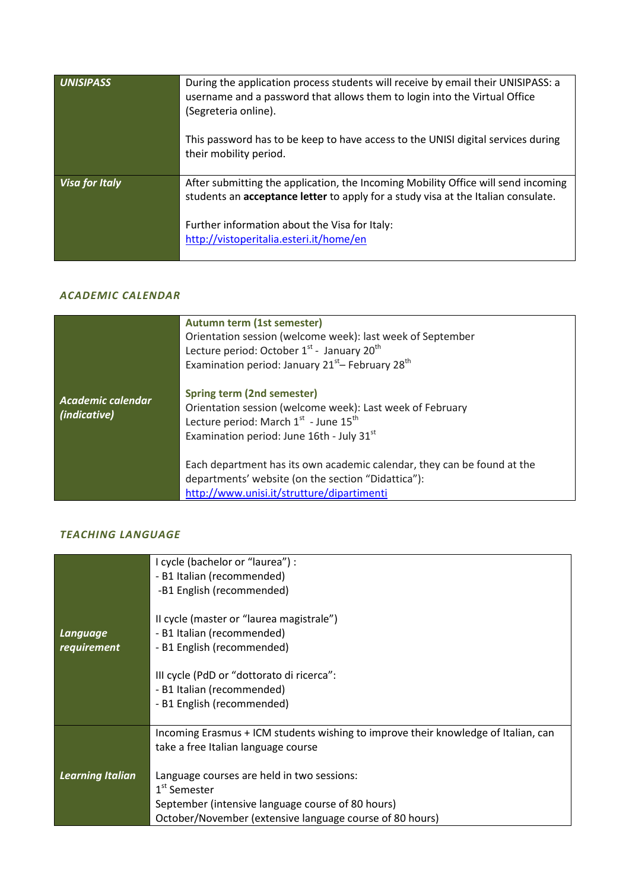| <b>UNISIPASS</b>      | During the application process students will receive by email their UNISIPASS: a<br>username and a password that allows them to login into the Virtual Office<br>(Segreteria online). |
|-----------------------|---------------------------------------------------------------------------------------------------------------------------------------------------------------------------------------|
|                       | This password has to be keep to have access to the UNISI digital services during<br>their mobility period.                                                                            |
| <b>Visa for Italy</b> | After submitting the application, the Incoming Mobility Office will send incoming<br>students an acceptance letter to apply for a study visa at the Italian consulate.                |
|                       | Further information about the Visa for Italy:<br>http://vistoperitalia.esteri.it/home/en                                                                                              |

## *ACADEMIC CALENDAR*

| Academic calendar<br>( <i>indicative</i> ) | Autumn term (1st semester)<br>Orientation session (welcome week): last week of September<br>Lecture period: October 1 <sup>st</sup> - January 20 <sup>th</sup><br>Examination period: January 21 <sup>st</sup> – February 28 <sup>th</sup><br>Spring term (2nd semester)<br>Orientation session (welcome week): Last week of February<br>Lecture period: March $1^{st}$ - June $15^{th}$<br>Examination period: June 16th - July 31st |
|--------------------------------------------|---------------------------------------------------------------------------------------------------------------------------------------------------------------------------------------------------------------------------------------------------------------------------------------------------------------------------------------------------------------------------------------------------------------------------------------|
|                                            | Each department has its own academic calendar, they can be found at the<br>departments' website (on the section "Didattica"):<br>http://www.unisi.it/strutture/dipartimenti                                                                                                                                                                                                                                                           |

### *TEACHING LANGUAGE*

| Language<br>requirement | I cycle (bachelor or "laurea") :<br>- B1 Italian (recommended)<br>-B1 English (recommended)<br>Il cycle (master or "laurea magistrale")<br>- B1 Italian (recommended)<br>- B1 English (recommended)<br>III cycle (PdD or "dottorato di ricerca":<br>- B1 Italian (recommended)                                       |
|-------------------------|----------------------------------------------------------------------------------------------------------------------------------------------------------------------------------------------------------------------------------------------------------------------------------------------------------------------|
|                         | - B1 English (recommended)                                                                                                                                                                                                                                                                                           |
| <b>Learning Italian</b> | Incoming Erasmus + ICM students wishing to improve their knowledge of Italian, can<br>take a free Italian language course<br>Language courses are held in two sessions:<br>1 <sup>st</sup> Semester<br>September (intensive language course of 80 hours)<br>October/November (extensive language course of 80 hours) |